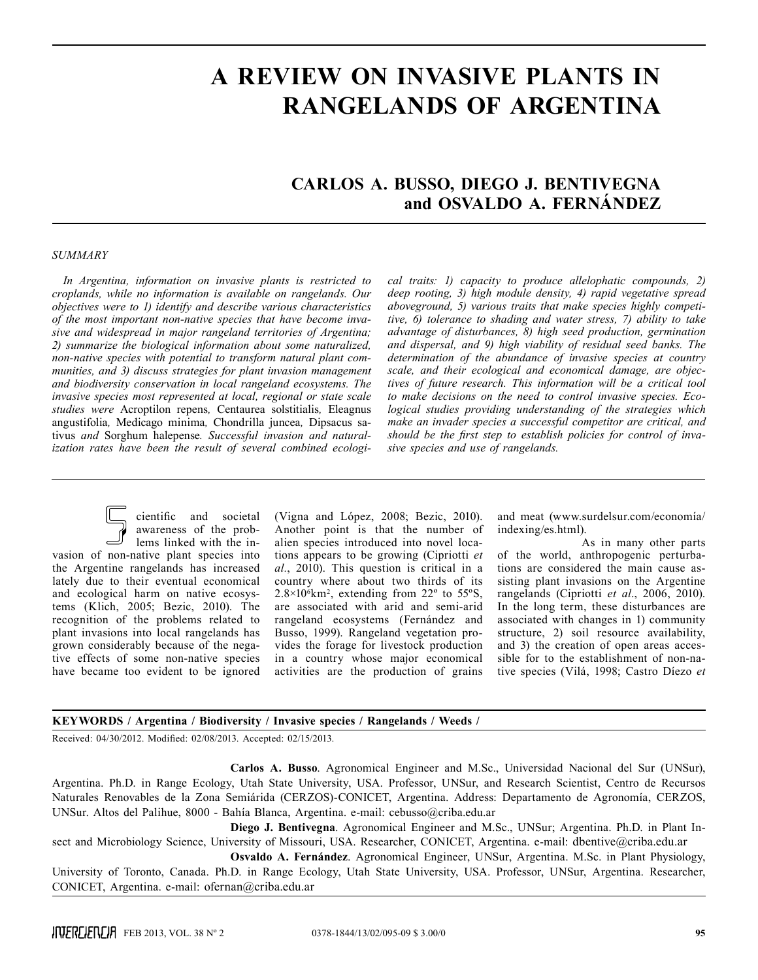# **A REVIEW ON INVASIVE PLANTS IN RANGELANDS OF ARGENTINA**

# **Carlos A. Busso, Diego J. Bentivegna and Osvaldo A. Fernández**

#### *SUMMARY*

*In Argentina, information on invasive plants is restricted to croplands, while no information is available on rangelands. Our objectives were to 1) identify and describe various characteristics of the most important non-native species that have become invasive and widespread in major rangeland territories of Argentina; 2) summarize the biological information about some naturalized, non-native species with potential to transform natural plant communities, and 3) discuss strategies for plant invasion management and biodiversity conservation in local rangeland ecosystems. The invasive species most represented at local, regional or state scale studies were* Acroptilon repens*,* Centaurea solstitialis*,* Eleagnus angustifolia*,* Medicago minima*,* Chondrilla juncea*,* Dipsacus sativus *and* Sorghum halepense*. Successful invasion and naturalization rates have been the result of several combined ecologi-* *cal traits: 1) capacity to produce allelophatic compounds, 2) deep rooting, 3) high module density, 4) rapid vegetative spread aboveground, 5) various traits that make species highly competitive, 6) tolerance to shading and water stress, 7) ability to take advantage of disturbances, 8) high seed production, germination and dispersal, and 9) high viability of residual seed banks. The determination of the abundance of invasive species at country scale, and their ecological and economical damage, are objectives of future research. This information will be a critical tool to make decisions on the need to control invasive species. Ecological studies providing understanding of the strategies which make an invader species a successful competitor are critical, and should be the first step to establish policies for control of invasive species and use of rangelands.*

cientific and societal awareness of the problems linked with the invasion of non-native plant species into the Argentine rangelands has increased lately due to their eventual economical and ecological harm on native ecosystems (Klich, 2005; Bezic, 2010). The recognition of the problems related to plant invasions into local rangelands has grown considerably because of the negative effects of some non-native species have became too evident to be ignored

(Vigna and López, 2008; Bezic, 2010). Another point is that the number of alien species introduced into novel locations appears to be growing (Cipriotti *et al.*, 2010). This question is critical in a country where about two thirds of its  $2.8 \times 10^6$  km<sup>2</sup>, extending from 22 $\degree$  to 55 $\degree$ S, are associated with arid and semi-arid rangeland ecosystems (Fernández and Busso, 1999). Rangeland vegetation provides the forage for livestock production in a country whose major economical activities are the production of grains

and meat (www.surdelsur.com/economía/ indexing/es.html).

As in many other parts of the world, anthropogenic perturbations are considered the main cause assisting plant invasions on the Argentine rangelands (Cipriotti *et al*., 2006, 2010). In the long term, these disturbances are associated with changes in 1) community structure, 2) soil resource availability, and 3) the creation of open areas accessible for to the establishment of non-native species (Vilá, 1998; Castro Díezo *et* 

#### **KEYWORDS / Argentina / Biodiversity / Invasive species / Rangelands / Weeds /**

Received: 04/30/2012. Modified: 02/08/2013. Accepted: 02/15/2013.

**Carlos A. Busso**. Agronomical Engineer and M.Sc., Universidad Nacional del Sur (UNSur), Argentina. Ph.D. in Range Ecology, Utah State University, USA. Professor, UNSur, and Research Scientist, Centro de Recursos Naturales Renovables de la Zona Semiárida (CERZOS)-CONICET, Argentina. Address: Departamento de Agronomía, CERZOS, UNSur. Altos del Palihue, 8000 - Bahía Blanca, Argentina. e-mail: cebusso@criba.edu.ar

**Diego J. Bentivegna**. Agronomical Engineer and M.Sc., UNSur; Argentina. Ph.D. in Plant Insect and Microbiology Science, University of Missouri, USA. Researcher, CONICET, Argentina. e-mail: dbentive@criba.edu.ar

**Osvaldo A. Fernández**. Agronomical Engineer, UNSur, Argentina. M.Sc. in Plant Physiology, University of Toronto, Canada. Ph.D. in Range Ecology, Utah State University, USA. Professor, UNSur, Argentina. Researcher, CONICET, Argentina. e-mail: ofernan@criba.edu.ar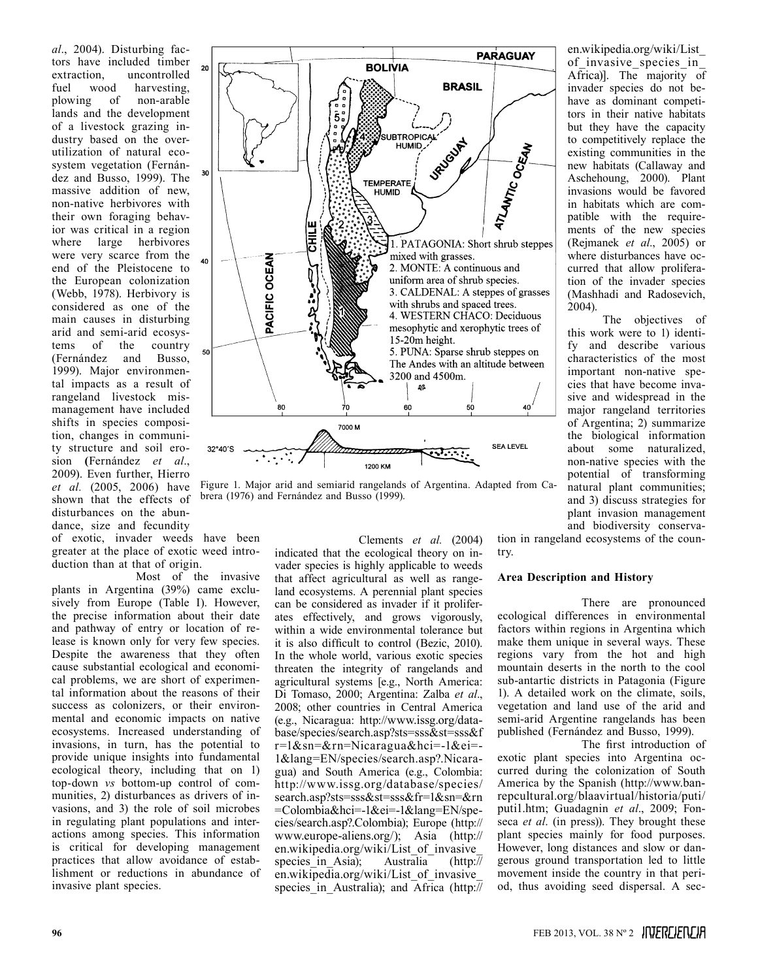*al*., 2004). Disturbing factors have included timber extraction, uncontrolled fuel wood harvesting, plowing of non-arable lands and the development of a livestock grazing industry based on the overutilization of natural ecosystem vegetation (Fernández and Busso, 1999). The massive addition of new, non-native herbivores with their own foraging behavior was critical in a region where large herbivores were very scarce from the end of the Pleistocene to the European colonization (Webb, 1978). Herbivory is considered as one of the main causes in disturbing arid and semi-arid ecosystems of the country (Fernández and Busso, 1999). Major environmental impacts as a result of rangeland livestock mismanagement have included shifts in species composition, changes in community structure and soil erosion **(**Fernández *et al*., 2009). Even further, Hierro *et al.* (2005, 2006) have shown that the effects of disturbances on the abundance, size and fecundity

of exotic, invader weeds have been greater at the place of exotic weed introduction than at that of origin.

Most of the invasive plants in Argentina (39%) came exclusively from Europe (Table I). However, the precise information about their date and pathway of entry or location of release is known only for very few species. Despite the awareness that they often cause substantial ecological and economical problems, we are short of experimental information about the reasons of their success as colonizers, or their environmental and economic impacts on native ecosystems. Increased understanding of invasions, in turn, has the potential to provide unique insights into fundamental ecological theory, including that on 1) top-down *vs* bottom-up control of communities, 2) disturbances as drivers of invasions, and 3) the role of soil microbes in regulating plant populations and interactions among species. This information is critical for developing management practices that allow avoidance of establishment or reductions in abundance of invasive plant species.



Figure 1. Major arid and semiarid rangelands of Argentina. Adapted from Cabrera (1976) and Fernández and Busso (1999).

Clements *et al.* (2004) indicated that the ecological theory on invader species is highly applicable to weeds that affect agricultural as well as rangeland ecosystems. A perennial plant species can be considered as invader if it proliferates effectively, and grows vigorously, within a wide environmental tolerance but it is also difficult to control (Bezic, 2010). In the whole world, various exotic species threaten the integrity of rangelands and agricultural systems [e.g., North America: Di Tomaso, 2000; Argentina: Zalba *et al*., 2008; other countries in Central America (e.g., Nicaragua: http://www.issg.org/database/species/search.asp?sts=sss&st=sss&f r=1&sn=&rn=Nicaragua&hci=-1&ei=- 1&lang=EN/species/search.asp?.Nicaragua) and South America (e.g., Colombia: http://www.issg.org/database/species/ search.asp?sts=sss&st=sss&fr=1&sn=&rn =Colombia&hci=-1&ei=-1&lang=EN/species/search.asp?.Colombia); Europe (http:// www.europe-aliens.org/); Asia (http:// en.wikipedia.org/wiki/List\_of\_invasive\_ species in Asia); Australia (http:// en.wikipedia.org/wiki/List\_of\_invasive\_ species in Australia); and Africa (http://

en.wikipedia.org/wiki/List\_ of invasive species in Africa)]. The majority of invader species do not behave as dominant competitors in their native habitats but they have the capacity to competitively replace the existing communities in the new habitats (Callaway and Aschehoung, 2000). Plant invasions would be favored in habitats which are compatible with the requirements of the new species (Rejmanek *et al*., 2005) or where disturbances have occurred that allow proliferation of the invader species (Mashhadi and Radosevich, 2004).

The objectives of this work were to 1) identify and describe various characteristics of the most important non-native species that have become invasive and widespread in the major rangeland territories of Argentina; 2) summarize the biological information about some naturalized, non-native species with the potential of transforming natural plant communities; and 3) discuss strategies for plant invasion management and biodiversity conserva-

tion in rangeland ecosystems of the country.

# **Area Description and History**

There are pronounced ecological differences in environmental factors within regions in Argentina which make them unique in several ways. These regions vary from the hot and high mountain deserts in the north to the cool sub-antartic districts in Patagonia (Figure 1). A detailed work on the climate, soils, vegetation and land use of the arid and semi-arid Argentine rangelands has been published (Fernández and Busso, 1999).

The first introduction of exotic plant species into Argentina occurred during the colonization of South America by the Spanish (http://www.banrepcultural.org/blaavirtual/historia/puti/ puti1.htm; Guadagnin *et al*., 2009; Fonseca *et al*. (in press)). They brought these plant species mainly for food purposes. However, long distances and slow or dangerous ground transportation led to little movement inside the country in that period, thus avoiding seed dispersal. A sec-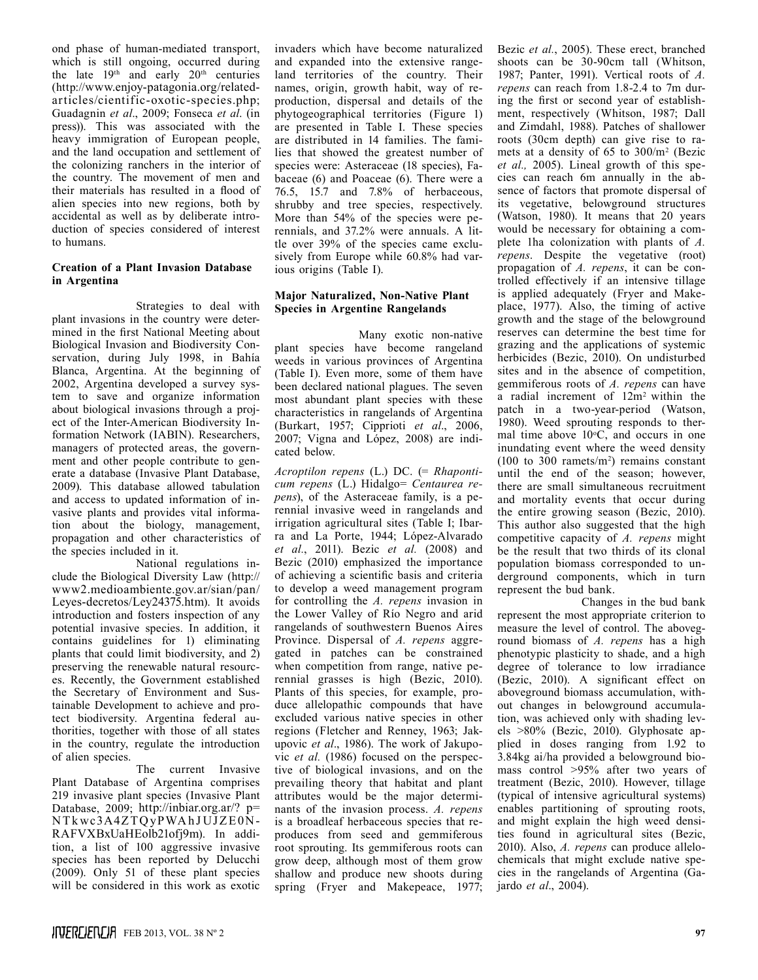ond phase of human-mediated transport, which is still ongoing, occurred during the late 19<sup>th</sup> and early 20<sup>th</sup> centuries (http://www.enjoy-patagonia.org/relatedarticles/cientific-oxotic-species.php; Guadagnin *et al*., 2009; Fonseca *et al*. (in press)). This was associated with the heavy immigration of European people, and the land occupation and settlement of the colonizing ranchers in the interior of the country. The movement of men and their materials has resulted in a flood of alien species into new regions, both by accidental as well as by deliberate introduction of species considered of interest to humans.

#### **Creation of a Plant Invasion Database in Argentina**

Strategies to deal with plant invasions in the country were determined in the first National Meeting about Biological Invasion and Biodiversity Conservation, during July 1998, in Bahía Blanca, Argentina. At the beginning of 2002, Argentina developed a survey system to save and organize information about biological invasions through a project of the Inter-American Biodiversity Information Network (IABIN). Researchers, managers of protected areas, the government and other people contribute to generate a database (Invasive Plant Database, 2009). This database allowed tabulation and access to updated information of invasive plants and provides vital information about the biology, management, propagation and other characteristics of the species included in it.

National regulations include the Biological Diversity Law (http:// www2.medioambiente.gov.ar/sian/pan/ Leyes-decretos/Ley24375.htm). It avoids introduction and fosters inspection of any potential invasive species. In addition, it contains guidelines for 1) eliminating plants that could limit biodiversity, and 2) preserving the renewable natural resources. Recently, the Government established the Secretary of Environment and Sustainable Development to achieve and protect biodiversity. Argentina federal authorities, together with those of all states in the country, regulate the introduction of alien species.

The current Invasive Plant Database of Argentina comprises 219 invasive plant species (Invasive Plant Database, 2009; http://inbiar.org.ar/? p= NTkwc3A4ZTQyPWAhJUJZE0N-RAFVXBxUaHEolb21ofj9m). In addition, a list of 100 aggressive invasive species has been reported by Delucchi (2009). Only 51 of these plant species will be considered in this work as exotic

invaders which have become naturalized and expanded into the extensive rangeland territories of the country. Their names, origin, growth habit, way of reproduction, dispersal and details of the phytogeographical territories (Figure 1) are presented in Table I. These species are distributed in 14 families. The families that showed the greatest number of species were: Asteraceae (18 species), Fabaceae (6) and Poaceae (6). There were a 76.5, 15.7 and 7.8% of herbaceous, shrubby and tree species, respectively. More than 54% of the species were perennials, and 37.2% were annuals. A little over 39% of the species came exclusively from Europe while 60.8% had various origins (Table I).

# **Major Naturalized, Non-Native Plant Species in Argentine Rangelands**

Many exotic non-native plant species have become rangeland weeds in various provinces of Argentina (Table I). Even more, some of them have been declared national plagues. The seven most abundant plant species with these characteristics in rangelands of Argentina (Burkart, 1957; Cipprioti *et al*., 2006, 2007; Vigna and López, 2008) are indicated below.

*Acroptilon repens* (L.) DC. (= *Rhaponticum repens* (L.) Hidalgo= *Centaurea repens*), of the Asteraceae family, is a perennial invasive weed in rangelands and irrigation agricultural sites (Table I; Ibarra and La Porte, 1944; López-Alvarado *et al.*, 2011). Bezic *et al.* (2008) and Bezic (2010) emphasized the importance of achieving a scientific basis and criteria to develop a weed management program for controlling the *A. repens* invasion in the Lower Valley of Río Negro and arid rangelands of southwestern Buenos Aires Province. Dispersal of *A. repens* aggregated in patches can be constrained when competition from range, native perennial grasses is high (Bezic, 2010). Plants of this species, for example, produce allelopathic compounds that have excluded various native species in other regions (Fletcher and Renney, 1963; Jakupovic *et al*., 1986). The work of Jakupovic *et al.* (1986) focused on the perspective of biological invasions, and on the prevailing theory that habitat and plant attributes would be the major determinants of the invasion process. *A. repens* is a broadleaf herbaceous species that reproduces from seed and gemmiferous root sprouting. Its gemmiferous roots can grow deep, although most of them grow shallow and produce new shoots during spring (Fryer and Makepeace, 1977; Bezic *et al.*, 2005). These erect, branched shoots can be 30-90cm tall (Whitson, 1987; Panter, 1991). Vertical roots of *A. repens* can reach from 1.8-2.4 to 7m during the first or second year of establishment, respectively (Whitson, 1987; Dall and Zimdahl, 1988). Patches of shallower roots (30cm depth) can give rise to ramets at a density of 65 to 300/m<sup>2</sup> (Bezic *et al.,* 2005). Lineal growth of this species can reach 6m annually in the absence of factors that promote dispersal of its vegetative, belowground structures (Watson, 1980). It means that 20 years would be necessary for obtaining a complete 1ha colonization with plants of *A. repens*. Despite the vegetative (root) propagation of *A. repens*, it can be controlled effectively if an intensive tillage is applied adequately (Fryer and Makeplace, 1977). Also, the timing of active growth and the stage of the belowground reserves can determine the best time for grazing and the applications of systemic herbicides (Bezic, 2010). On undisturbed sites and in the absence of competition, gemmiferous roots of *A. repens* can have a radial increment of 12m2 within the patch in a two-year-period (Watson, 1980). Weed sprouting responds to thermal time above  $10^{\circ}$ C, and occurs in one inundating event where the weed density  $(100 \text{ to } 300 \text{ ramets/m}^2)$  remains constant until the end of the season; however, there are small simultaneous recruitment and mortality events that occur during the entire growing season (Bezic, 2010). This author also suggested that the high competitive capacity of *A. repens* might be the result that two thirds of its clonal population biomass corresponded to underground components, which in turn represent the bud bank.

Changes in the bud bank represent the most appropriate criterion to measure the level of control. The aboveground biomass of *A. repens* has a high phenotypic plasticity to shade, and a high degree of tolerance to low irradiance (Bezic, 2010). A significant effect on aboveground biomass accumulation, without changes in belowground accumulation, was achieved only with shading levels >80% (Bezic, 2010). Glyphosate applied in doses ranging from 1.92 to 3.84kg ai/ha provided a belowground biomass control >95% after two years of treatment (Bezic, 2010). However, tillage (typical of intensive agricultural systems) enables partitioning of sprouting roots, and might explain the high weed densities found in agricultural sites (Bezic, 2010). Also, *A. repens* can produce allelochemicals that might exclude native species in the rangelands of Argentina (Gajardo *et al*., 2004).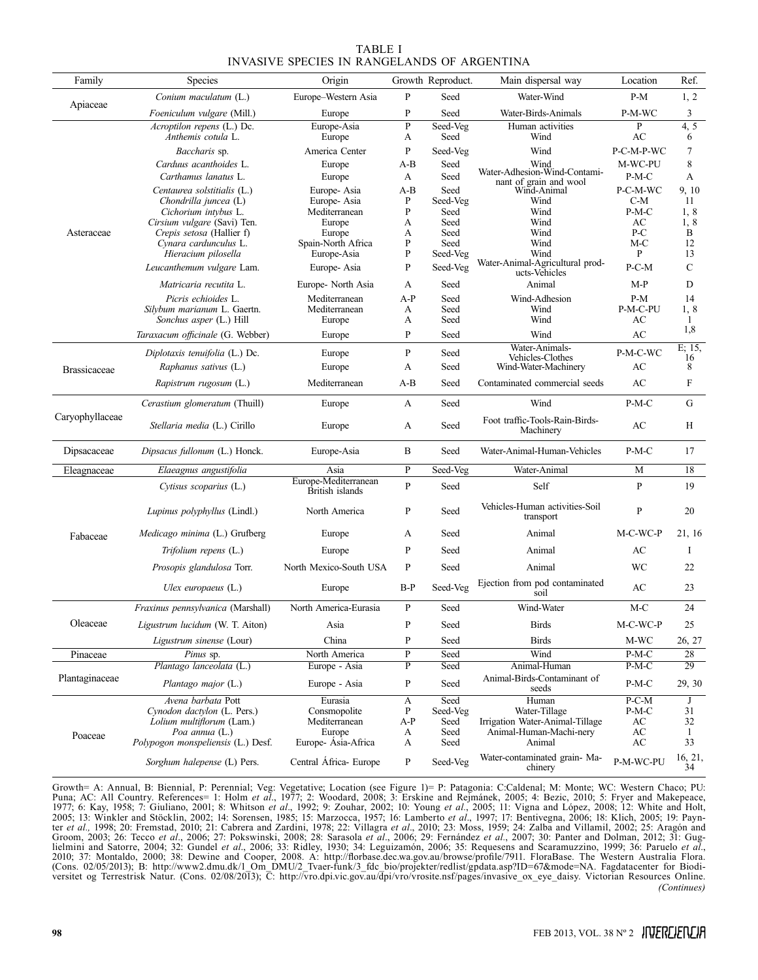|                                             | TABLE I |  |
|---------------------------------------------|---------|--|
| INVASIVE SPECIES IN RANGELANDS OF ARGENTINA |         |  |

| Family              | Species                                                  | Origin                                  |              | Growth Reproduct. | Main dispersal way                               | Location         | Ref.                      |
|---------------------|----------------------------------------------------------|-----------------------------------------|--------------|-------------------|--------------------------------------------------|------------------|---------------------------|
| Apiaceae            | Conium maculatum (L.)                                    | Europe-Western Asia                     | P            | Seed              | Water-Wind                                       | $P-M$            | 1, 2                      |
|                     | Foeniculum vulgare (Mill.)                               | Europe                                  | P            | Seed              | Water-Birds-Animals                              | P-M-WC           | 3                         |
| Asteraceae          | Acroptilon repens (L.) Dc.                               | Europe-Asia                             | $\mathbf{P}$ | Seed-Veg          | Human activities                                 | P                | 4, 5                      |
|                     | Anthemis cotula L.<br>Baccharis sp.                      | Europe                                  | A<br>P       | Seed              | Wind<br>Wind                                     | AC<br>P-C-M-P-WC | 6<br>7                    |
|                     | Carduus acanthoides L.                                   | America Center<br>Europe                | $A-B$        | Seed-Veg<br>Seed  | Wind                                             | M-WC-PU          | 8                         |
|                     | Carthamus lanatus L.                                     | Europe                                  | А            | Seed              | Water-Adhesion-Wind-Contami-                     | $P-M-C$          | A                         |
|                     | Centaurea solstitialis (L.)                              | Europe-Asia                             | A-B          | Seed              | nant of grain and wool<br>Wind-Animal            | P-C-M-WC         | 9, 10                     |
|                     | Chondrilla juncea $(L)$                                  | Europe-Asia                             | P            | Seed-Veg          | Wind                                             | C-M              | 11                        |
|                     | Cichorium intybus L.                                     | Mediterranean                           | P            | Seed              | Wind                                             | P-M-C            | 1, 8                      |
|                     | Cirsium vulgare (Savi) Ten.<br>Crepis setosa (Hallier f) | Europe<br>Europe                        | А<br>А       | Seed<br>Seed      | Wind<br>Wind                                     | AC<br>P-C        | 1, 8<br>B                 |
|                     | Cynara cardunculus L.                                    | Spain-North Africa                      | P            | Seed              | Wind                                             | M-C              | 12                        |
|                     | Hieracium pilosella                                      | Europe-Asia                             | P            | Seed-Veg          | Wind                                             | P                | 13                        |
|                     | Leucanthemum vulgare Lam.                                | Europe-Asia                             | P            | Seed-Veg          | Water-Animal-Agricultural prod-<br>ucts-Vehicles | P-C-M            | $\mathcal{C}$             |
|                     | <i>Matricaria recutita</i> L.                            | Europe- North Asia                      | А            | Seed              | Animal                                           | M-P              | D                         |
|                     | Picris echioides L.                                      | Mediterranean                           | A-P          | Seed              | Wind-Adhesion                                    | $P-M$            | 14                        |
|                     | Silybum marianum L. Gaertn.                              | Mediterranean                           | A            | Seed              | Wind<br>Wind                                     | P-M-C-PU         | 1, 8                      |
|                     | Sonchus asper (L.) Hill                                  | Europe                                  | A            | Seed              |                                                  | AC               | 1<br>1,8                  |
|                     | Taraxacum officinale (G. Webber)                         | Europe                                  | P            | Seed              | Wind<br>Water-Animals-                           | AC               | E; 15,                    |
|                     | Diplotaxis tenuifolia (L.) Dc.                           | Europe                                  | P            | Seed              | Vehicles-Clothes                                 | P-M-C-WC         | 16                        |
| <b>Brassicaceae</b> | <i>Raphanus sativus</i> (L.)                             | Europe                                  | A            | Seed              | Wind-Water-Machinery                             | AC               | 8                         |
|                     | Rapistrum rugosum (L.)                                   | Mediterranean                           | $A-B$        | Seed              | Contaminated commercial seeds                    | AC               | $\boldsymbol{\mathrm{F}}$ |
| Caryophyllaceae     | Cerastium glomeratum (Thuill)                            | Europe                                  | A            | Seed              | Wind                                             | $P-M-C$          | G                         |
|                     | Stellaria media (L.) Cirillo                             | Europe                                  | А            | Seed              | Foot traffic-Tools-Rain-Birds-<br>Machinery      | AC               | H                         |
| Dipsacaceae         | Dipsacus fullonum (L.) Honck.                            | Europe-Asia                             | B            | Seed              | Water-Animal-Human-Vehicles                      | P-M-C            | 17                        |
| Eleagnaceae         | Elaeagnus angustifolia                                   | Asia                                    | P            | Seed-Veg          | Water-Animal                                     | М                | 18                        |
|                     | Cytisus scoparius (L.)                                   | Europe-Mediterranean<br>British islands | $\mathbf{P}$ | Seed              | Self                                             | P                | 19                        |
|                     | <i>Lupinus polyphyllus</i> (Lindl.)                      | North America                           | P            | Seed              | Vehicles-Human activities-Soil<br>transport      | P                | 20                        |
| Fabaceae            | <i>Medicago minima</i> (L.) Grufberg                     | Europe                                  | A            | Seed              | Animal                                           | M-C-WC-P         | 21, 16                    |
|                     | Trifolium repens (L.)                                    | Europe                                  | P            | Seed              | Animal                                           | AC               | I                         |
|                     | Prosopis glandulosa Torr.                                | North Mexico-South USA                  | P            | Seed              | Animal                                           | WC               | 22                        |
|                     | Ulex europaeus $(L)$                                     | Europe                                  | B-P          | Seed-Veg          | Ejection from pod contaminated<br>soil           | AC               | 23                        |
| Oleaceae            | Fraxinus pennsylvanica (Marshall)                        | North America-Eurasia                   | P            | Seed              | Wind-Water                                       | $M-C$            | 24                        |
|                     | Ligustrum lucidum (W. T. Aiton)                          | Asia                                    | P            | Seed              | Birds                                            | M-C-WC-P         | 25                        |
|                     | Ligustrum sinense (Lour)                                 | China                                   | P            | Seed              | Birds                                            | M-WC             | 26, 27                    |
| Pinaceae            | <i>Pinus</i> sp.                                         | North America                           | P            | Seed              | Wind                                             | $P-M-C$          | 28                        |
| Plantaginaceae      | Plantago lanceolata (L.)                                 | Europe - Asia                           | P            | Seed              | Animal-Human                                     | P-M-C            | 29                        |
|                     | Plantago major (L.)                                      | Europe - Asia                           | P            | Seed              | Animal-Birds-Contaminant of<br>seeds             | $P-M-C$          | 29, 30                    |
| Poaceae             | Avena barbata Pott                                       | Eurasia                                 | A            | Seed              | Human                                            | $P-C-M$          | J                         |
|                     | Cynodon dactylon (L. Pers.)<br>Lolium multiflorum (Lam.) | Consmopolite<br>Mediterranean           | P<br>A-P     | Seed-Veg<br>Seed  | Water-Tillage<br>Irrigation Water-Animal-Tillage | P-M-C<br>АC      | 31<br>32                  |
|                     | Poa annua (L.)                                           | Europe                                  | A            | Seed              | Animal-Human-Machi-nery                          | АC               | 1                         |
|                     | Polypogon monspeliensis (L.) Desf.                       | Europe-Asia-Africa                      | A            | Seed              | Animal                                           | AC               | 33                        |
|                     | Sorghum halepense (L) Pers.                              | Central África- Europe                  | P            | Seed-Veg          | Water-contaminated grain- Ma-<br>chinery         | P-M-WC-PU        | 16, 21,<br>34             |

Growth= A: Annual, B: Biennial, P: Perennial; Veg: Vegetative; Location (see Figure 1)= P: Patagonia: C:Caldenal; M: Monte; WC: Western Chaco; PU: Puna; AC: All Country. References= 1: Holm et al., 1977; 2: Woodard, 2008; ter *et al.,* 1998; 20: Fremstad, 2010; 21: Cabrera and Zardini, 1978; 22: Villagra *et al*., 2010; 23: Moss, 1959; 24: Zalba and Villamil, 2002; 25: Aragón and Groom, 2003; 26: Tecco *et al*., 2006; 27: Pokswinski, 2008; 28: Sarasola *et al*., 2006; 29: Fernández *et al.*, 2007; 30: Panter and Dolman, 2012; 31: Guglielmini and Satorre, 2004; 32: Gundel *et al*., 2006; 33: Ridley, 1930; 34: Leguizamón, 2006; 35: Requesens and Scaramuzzino, 1999; 36: Paruelo *et al*., 2010; 37: Montaldo, 2000; 38: Dewine and Cooper, 2008. A: http://florbase.dec.wa.gov.au/browse/profile/7911. FloraBase. The Western Australia Flora. (Cons. 02/05/2013); B: http://www2.dmu.dk/1\_Om\_DMU/2\_Tvaer-funk/3\_fdc\_bio/projekter/redlist/gpdata.asp?ID=67&mode=NA. Fagdatacenter for Biodiversitet og Terrestrisk Natur. (Cons. 02/08/2013); C: http://vro.dpi.vic.gov.au/dpi/vro/vrosite.nsf/pages/invasive\_ox\_eye\_daisy. Victorian Resources Online. *(Continues)*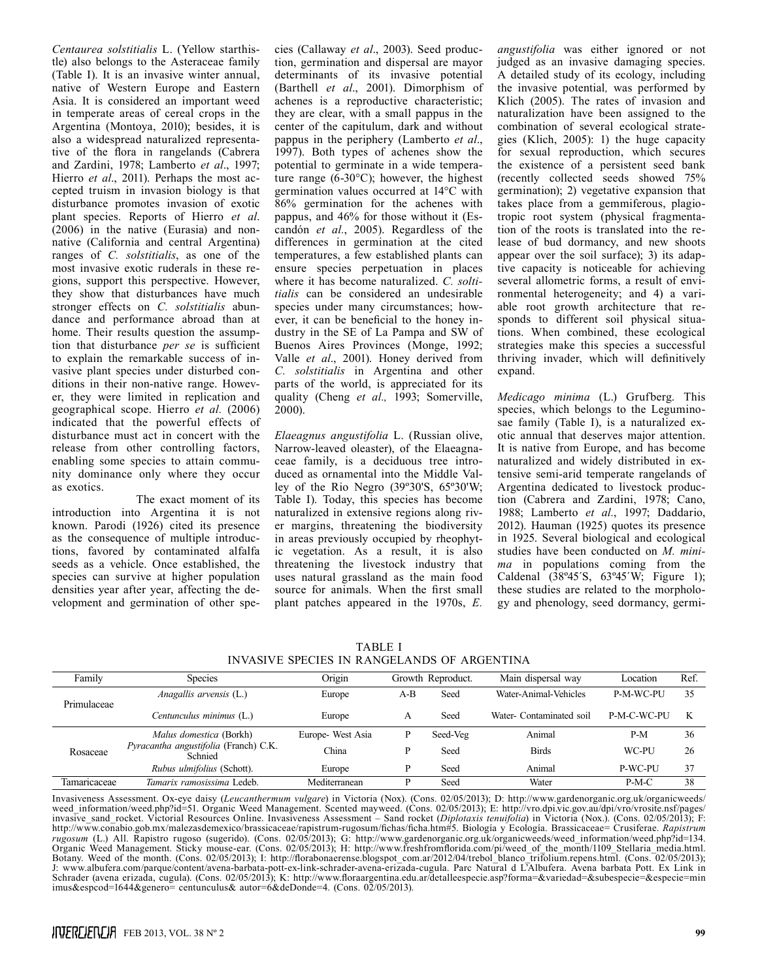*Centaurea solstitialis* L. (Yellow starthistle) also belongs to the Asteraceae family (Table I). It is an invasive winter annual, native of Western Europe and Eastern Asia. It is considered an important weed in temperate areas of cereal crops in the Argentina (Montoya, 2010); besides, it is also a widespread naturalized representative of the flora in rangelands (Cabrera and Zardini, 1978; Lamberto *et al*., 1997; Hierro *et al*., 2011). Perhaps the most accepted truism in invasion biology is that disturbance promotes invasion of exotic plant species. Reports of Hierro *et al*. (2006) in the native (Eurasia) and nonnative (California and central Argentina) ranges of *C. solstitialis*, as one of the most invasive exotic ruderals in these regions, support this perspective. However, they show that disturbances have much stronger effects on *C. solstitialis* abundance and performance abroad than at home. Their results question the assumption that disturbance *per se* is sufficient to explain the remarkable success of invasive plant species under disturbed conditions in their non-native range. However, they were limited in replication and geographical scope. Hierro *et al.* (2006) indicated that the powerful effects of disturbance must act in concert with the release from other controlling factors, enabling some species to attain community dominance only where they occur as exotics.

The exact moment of its introduction into Argentina it is not known. Parodi (1926) cited its presence as the consequence of multiple introductions, favored by contaminated alfalfa seeds as a vehicle. Once established, the species can survive at higher population densities year after year, affecting the development and germination of other spe-

cies (Callaway *et al*., 2003). Seed production, germination and dispersal are mayor determinants of its invasive potential (Barthell *et al*., 2001). Dimorphism of achenes is a reproductive characteristic; they are clear, with a small pappus in the center of the capitulum, dark and without pappus in the periphery (Lamberto *et al*., 1997). Both types of achenes show the potential to germinate in a wide temperature range (6-30°C); however, the highest germination values occurred at 14°C with 86% germination for the achenes with pappus, and 46% for those without it (Escandón *et al.*, 2005). Regardless of the differences in germination at the cited temperatures, a few established plants can ensure species perpetuation in places where it has become naturalized. *C. soltitialis* can be considered an undesirable species under many circumstances; however, it can be beneficial to the honey industry in the SE of La Pampa and SW of Buenos Aires Provinces (Monge, 1992; Valle *et al*., 2001). Honey derived from *C. solstitialis* in Argentina and other parts of the world, is appreciated for its quality (Cheng *et al.,* 1993; Somerville, 2000).

*Elaeagnus angustifolia* L. (Russian olive, Narrow-leaved oleaster), of the Elaeagnaceae family, is a deciduous tree introduced as ornamental into the Middle Valley of the Rio Negro (39º30'S, 65º30'W; Table I). Today, this species has become naturalized in extensive regions along river margins, threatening the biodiversity in areas previously occupied by rheophytic vegetation. As a result, it is also threatening the livestock industry that uses natural grassland as the main food source for animals. When the first small plant patches appeared in the 1970s, *E.* 

*angustifolia* was either ignored or not judged as an invasive damaging species. A detailed study of its ecology, including the invasive potential*,* was performed by Klich (2005). The rates of invasion and naturalization have been assigned to the combination of several ecological strategies (Klich, 2005): 1) the huge capacity for sexual reproduction, which secures the existence of a persistent seed bank (recently collected seeds showed 75% germination); 2) vegetative expansion that takes place from a gemmiferous, plagiotropic root system (physical fragmentation of the roots is translated into the release of bud dormancy, and new shoots appear over the soil surface); 3) its adaptive capacity is noticeable for achieving several allometric forms, a result of environmental heterogeneity; and 4) a variable root growth architecture that responds to different soil physical situations. When combined, these ecological strategies make this species a successful thriving invader, which will definitively expand.

*Medicago minima* (L.) Grufberg. This species, which belongs to the Leguminosae family (Table I), is a naturalized exotic annual that deserves major attention. It is native from Europe, and has become naturalized and widely distributed in extensive semi-arid temperate rangelands of Argentina dedicated to livestock production (Cabrera and Zardini, 1978; Cano, 1988; Lamberto *et al.*, 1997; Daddario, 2012). Hauman (1925) quotes its presence in 1925. Several biological and ecological studies have been conducted on *M. minima* in populations coming from the Caldenal (38º45´S, 63º45´W; Figure 1); these studies are related to the morphology and phenology, seed dormancy, germi-

TABLE I INVASIVE SPECIES IN RANGELANDS OF ARGENTINA

| Family       | <b>Species</b>                                   | Origin            |     | Growth Reproduct. | Main dispersal way       | Location    | Ref. |
|--------------|--------------------------------------------------|-------------------|-----|-------------------|--------------------------|-------------|------|
| Primulaceae  | Anagallis arvensis (L.)                          | Europe            | A-B | Seed              | Water-Animal-Vehicles    | P-M-WC-PU   | 35   |
|              | Centunculus minimus (L.)                         | Europe            | А   | Seed              | Water- Contaminated soil | P-M-C-WC-PU | K    |
| Rosaceae     | Malus domestica (Borkh)                          | Europe- West Asia | P   | Seed-Veg          | Animal                   | $P-M$       | 36   |
|              | Pyracantha angustifolia (Franch) C.K.<br>Schnied | China             | D   | Seed              | <b>Birds</b>             | WC-PU       | 26   |
|              | Rubus ulmifolius (Schott).                       | Europe            | Þ   | Seed              | Animal                   | P-WC-PU     | 37   |
| Tamaricaceae | Tamarix ramosissima Ledeb.                       | Mediterranean     | Þ   | Seed              | Water                    | $P-M-C$     | 38   |

Invasiveness Assessment. Ox-eye daisy (*Leucanthermum vulgare*) in Victoria (Nox). (Cons. 02/05/2013); D: http://www.gardenorganic.org.uk/organicweeds/ weed\_information/weed.php?id=51. Organic Weed Management. Scented mayweed. (Cons. 02/05/2013); E: http://vro.dpi.vic.gov.au/dpi/vro/vrosite.nsf/pages/ invasive\_sand\_rocket. Victorial Resources Online. Invasiveness Assessment – Sand rocket (*Diplotaxis tenuifolia*) in Victoria (Nox.). (Cons. 02/05/2013); F: http://www.conabio.gob.mx/malezasdemexico/brassicaceae/rapistrum-rugosum/fichas/ficha.htm#5. Biología y Ecología. Brassicaceae= Crusiferae. *Rapistrum rugosum* (L.) All. Rapistro rugoso (sugerido). (Cons. 02/05/2013); G: http://www.gardenorganic.org.uk/organicweeds/weed\_information/weed.php?id=134. Organic Weed Management. Sticky mouse-ear. (Cons. 02/05/2013); H: http://www.freshfromflorida.com/pi/weed\_of\_the\_month/1109\_Stellaria\_media.html. Botany. Weed of the month. (Cons. 02/05/2013); I: http://florabonaerense.blogspot\_com.ar/2012/04/trebol\_blanco\_trifolium.repens.html. (Cons. 02/05/2013); J: www.albufera.com/parque/content/avena-barbata-pott-ex-link-schrader-avena-erizada-cugula. Parc Natural d L'Albufera. Avena barbata Pott. Ex Link in Schrader (avena erizada, cugula). (Cons. 02/05/2013); K: http://www.floraargentina.edu.ar/detalleespecie.asp?forma=&variedad=&subespecie=&especie=min imus&espcod=1644&genero= centunculus& autor=6&deDonde=4. (Cons. 02/05/2013).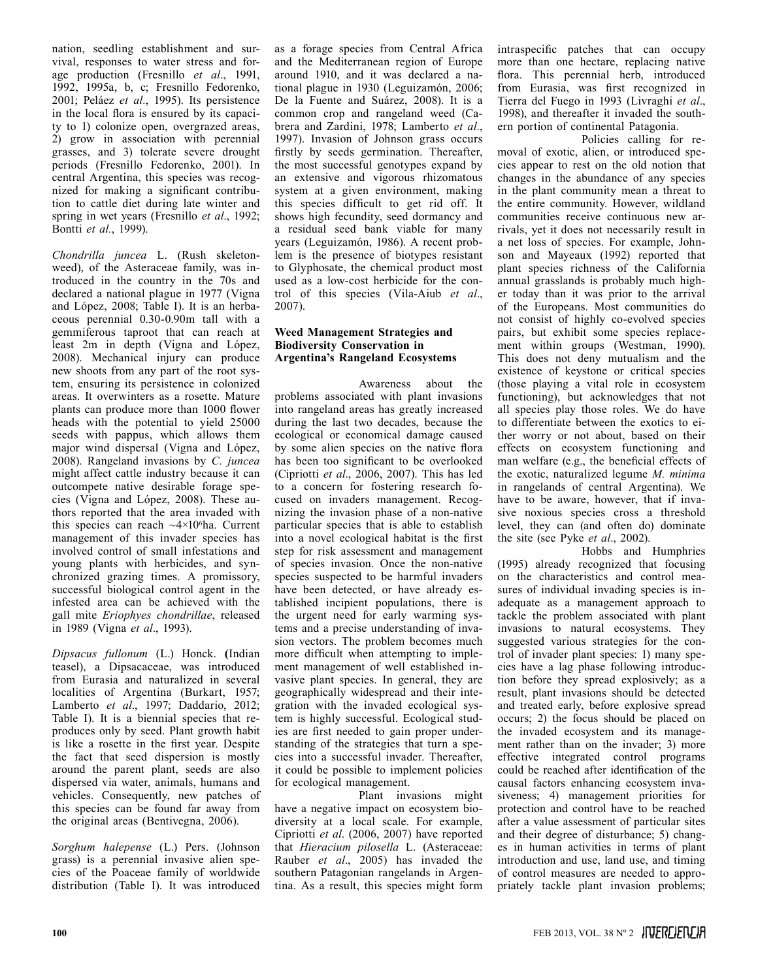nation, seedling establishment and survival, responses to water stress and forage production (Fresnillo *et al*., 1991, 1992, 1995a, b, c; Fresnillo Fedorenko, 2001; Peláez *et al.*, 1995). Its persistence in the local flora is ensured by its capacity to 1) colonize open, overgrazed areas, 2) grow in association with perennial grasses, and 3) tolerate severe drought periods (Fresnillo Fedorenko, 2001). In central Argentina, this species was recognized for making a significant contribution to cattle diet during late winter and spring in wet years (Fresnillo *et al*., 1992; Bontti *et al.*, 1999).

*Chondrilla juncea* L. (Rush skeletonweed), of the Asteraceae family, was introduced in the country in the 70s and declared a national plague in 1977 (Vigna and López, 2008; Table I). It is an herbaceous perennial 0.30-0.90m tall with a gemmiferous taproot that can reach at least 2m in depth (Vigna and López, 2008). Mechanical injury can produce new shoots from any part of the root system, ensuring its persistence in colonized areas. It overwinters as a rosette. Mature plants can produce more than 1000 flower heads with the potential to yield 25000 seeds with pappus, which allows them major wind dispersal (Vigna and López, 2008). Rangeland invasions by *C. juncea* might affect cattle industry because it can outcompete native desirable forage species (Vigna and López, 2008). These authors reported that the area invaded with this species can reach  $\sim$ 4×10<sup>6</sup>ha. Current management of this invader species has involved control of small infestations and young plants with herbicides, and synchronized grazing times. A promissory, successful biological control agent in the infested area can be achieved with the gall mite *Eriophyes chondrillae*, released in 1989 (Vigna *et al*., 1993).

*Dipsacus fullonum* (L.) Honck. **(**Indian teasel), a Dipsacaceae, was introduced from Eurasia and naturalized in several localities of Argentina (Burkart, 1957; Lamberto *et al*., 1997; Daddario, 2012; Table I). It is a biennial species that reproduces only by seed. Plant growth habit is like a rosette in the first year. Despite the fact that seed dispersion is mostly around the parent plant, seeds are also dispersed via water, animals, humans and vehicles. Consequently, new patches of this species can be found far away from the original areas (Bentivegna, 2006).

*Sorghum halepense* (L.) Pers. (Johnson grass) is a perennial invasive alien species of the Poaceae family of worldwide distribution (Table I). It was introduced

as a forage species from Central Africa and the Mediterranean region of Europe around 1910, and it was declared a national plague in 1930 (Leguizamón, 2006; De la Fuente and Suárez, 2008). It is a common crop and rangeland weed (Cabrera and Zardini, 1978; Lamberto *et al.*, 1997). Invasion of Johnson grass occurs firstly by seeds germination. Thereafter, the most successful genotypes expand by an extensive and vigorous rhizomatous system at a given environment, making this species difficult to get rid off. It shows high fecundity, seed dormancy and a residual seed bank viable for many years (Leguizamón, 1986). A recent problem is the presence of biotypes resistant to Glyphosate, the chemical product most used as a low-cost herbicide for the control of this species (Vila-Aiub *et al*., 2007).

### **Weed Management Strategies and Biodiversity Conservation in Argentina's Rangeland Ecosystems**

Awareness about the problems associated with plant invasions into rangeland areas has greatly increased during the last two decades, because the ecological or economical damage caused by some alien species on the native flora has been too significant to be overlooked (Cipriotti *et al*., 2006, 2007). This has led to a concern for fostering research focused on invaders management. Recognizing the invasion phase of a non-native particular species that is able to establish into a novel ecological habitat is the first step for risk assessment and management of species invasion. Once the non-native species suspected to be harmful invaders have been detected, or have already established incipient populations, there is the urgent need for early warming systems and a precise understanding of invasion vectors. The problem becomes much more difficult when attempting to implement management of well established invasive plant species. In general, they are geographically widespread and their integration with the invaded ecological system is highly successful. Ecological studies are first needed to gain proper understanding of the strategies that turn a species into a successful invader. Thereafter, it could be possible to implement policies for ecological management.

Plant invasions might have a negative impact on ecosystem biodiversity at a local scale. For example, Cipriotti *et al*. (2006, 2007) have reported that *Hieracium pilosella* L. (Asteraceae: Rauber *et al*., 2005) has invaded the southern Patagonian rangelands in Argentina. As a result, this species might form intraspecific patches that can occupy more than one hectare, replacing native flora. This perennial herb, introduced from Eurasia, was first recognized in Tierra del Fuego in 1993 (Livraghi *et al*., 1998), and thereafter it invaded the southern portion of continental Patagonia.

Policies calling for removal of exotic, alien, or introduced species appear to rest on the old notion that changes in the abundance of any species in the plant community mean a threat to the entire community. However, wildland communities receive continuous new arrivals, yet it does not necessarily result in a net loss of species. For example, Johnson and Mayeaux (1992) reported that plant species richness of the California annual grasslands is probably much higher today than it was prior to the arrival of the Europeans. Most communities do not consist of highly co-evolved species pairs, but exhibit some species replacement within groups (Westman, 1990). This does not deny mutualism and the existence of keystone or critical species (those playing a vital role in ecosystem functioning), but acknowledges that not all species play those roles. We do have to differentiate between the exotics to either worry or not about, based on their effects on ecosystem functioning and man welfare (e.g., the beneficial effects of the exotic, naturalized legume *M. minima* in rangelands of central Argentina). We have to be aware, however, that if invasive noxious species cross a threshold level, they can (and often do) dominate the site (see Pyke *et al*., 2002).

Hobbs and Humphries (1995) already recognized that focusing on the characteristics and control measures of individual invading species is inadequate as a management approach to tackle the problem associated with plant invasions to natural ecosystems. They suggested various strategies for the control of invader plant species: 1) many species have a lag phase following introduction before they spread explosively; as a result, plant invasions should be detected and treated early, before explosive spread occurs; 2) the focus should be placed on the invaded ecosystem and its management rather than on the invader; 3) more effective integrated control programs could be reached after identification of the causal factors enhancing ecosystem invasiveness; 4) management priorities for protection and control have to be reached after a value assessment of particular sites and their degree of disturbance; 5) changes in human activities in terms of plant introduction and use, land use, and timing of control measures are needed to appropriately tackle plant invasion problems;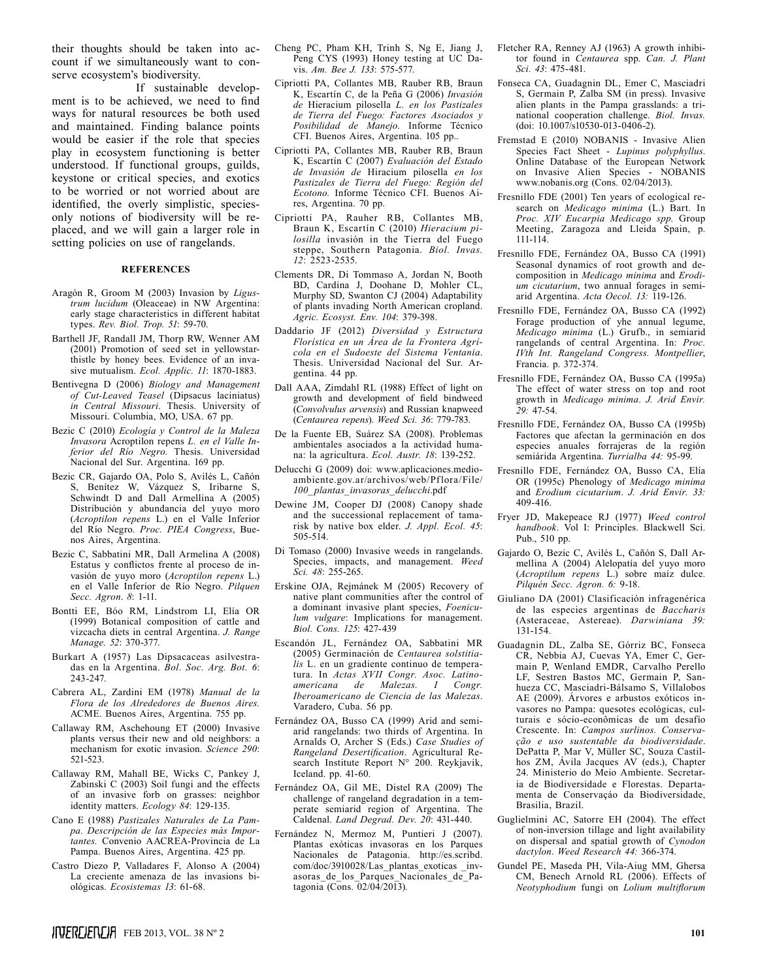their thoughts should be taken into account if we simultaneously want to conserve ecosystem's biodiversity.

If sustainable development is to be achieved, we need to find ways for natural resources be both used and maintained. Finding balance points would be easier if the role that species play in ecosystem functioning is better understood. If functional groups, guilds, keystone or critical species, and exotics to be worried or not worried about are identified, the overly simplistic, speciesonly notions of biodiversity will be replaced, and we will gain a larger role in setting policies on use of rangelands.

#### **REFERENCES**

- Aragón R, Groom M (2003) Invasion by *Ligustrum lucidum* (Oleaceae) in NW Argentina: early stage characteristics in different habitat types. *Rev. Biol. Trop. 51*: 59-70.
- Barthell JF, Randall JM, Thorp RW, Wenner AM (2001) Promotion of seed set in yellowstarthistle by honey bees. Evidence of an invasive mutualism. *Ecol. Applic. 11*: 1870-1883.
- Bentivegna D (2006) *Biology and Management of Cut-Leaved Teasel* (Dipsacus laciniatus) *in Central Missouri*. Thesis. University of Missouri. Columbia, MO, USA. 67 pp.
- Bezic C (2010) *Ecología y Control de la Maleza Invasora* Acroptilon repens *L. en el Valle Inferior del Río Negro*. Thesis. Universidad Nacional del Sur. Argentina. 169 pp.
- Bezic CR, Gajardo OA, Polo S, Avilés L, Cañón S, Benítez W, Vázquez S, Iribarne S, Schwindt D and Dall Armellina A (2005) Distribución y abundancia del yuyo moro (*Acroptilon repens* L.) en el Valle Inferior del Río Negro. *Proc. PIEA Congress*, Buenos Aires, Argentina.
- Bezic C, Sabbatini MR, Dall Armelina A (2008) Estatus y conflictos frente al proceso de invasión de yuyo moro (*Acroptilon repens* L.) en el Valle Inferior de Río Negro. *Pilquen Secc. Agron*. *8*: 1-11.
- Bontti EE, Bóo RM, Lindstrom LI, Elía OR (1999) Botanical composition of cattle and vizcacha diets in central Argentina. *J. Range Manage. 52*: 370-377.
- Burkart A (1957) Las Dipsacaceas asilvestradas en la Argentina. *Bol. Soc. Arg. Bot. 6*: 243-247.
- Cabrera AL, Zardini EM (1978) *Manual de la Flora de los Alrededores de Buenos Aires.* ACME. Buenos Aires, Argentina. 755 pp.
- Callaway RM, Aschehoung ET (2000) Invasive plants versus their new and old neighbors: a mechanism for exotic invasion. *Science 290*: 521-523.
- Callaway RM, Mahall BE, Wicks C, Pankey J, Zabinski C (2003) Soil fungi and the effects of an invasive forb on grasses: neighbor identity matters. *Ecology 84*: 129-135.
- Cano E (1988) *Pastizales Naturales de La Pampa. Descripción de las Especies más Importantes.* Convenio AACREA-Provincia de La Pampa. Buenos Aires, Argentina. 425 pp.
- Castro Diezo P, Valladares F, Alonso A (2004) La creciente amenaza de las invasions biológicas. *Ecosistemas 13*: 61-68.
- Cheng PC, Pham KH, Trinh S, Ng E, Jiang J, Peng CYS (1993) Honey testing at UC Davis. *Am. Bee J. 133*: 575-577.
- Cipriotti PA, Collantes MB, Rauber RB, Braun K, Escartín C, de la Peña G (2006) *Invasión de* Hieracium pilosella *L. en los Pastizales de Tierra del Fuego: Factores Asociados y Posibilidad de Manejo*. Informe Técnico CFI. Buenos Aires, Argentina. 105 pp..
- Cipriotti PA, Collantes MB, Rauber RB, Braun K, Escartín C (2007) *Evaluación del Estado de Invasión de* Hiracium pilosella *en los Pastizales de Tierra del Fuego: Región del Ecotono.* Informe Técnico CFI. Buenos Aires, Argentina. 70 pp.
- Cipriotti PA, Rauher RB, Collantes MB, Braun K, Escartín C (2010) *Hieracium pilosilla* invasión in the Tierra del Fuego steppe, Southern Patagonia. *Biol. Invas. 12*: 2523-2535.
- Clements DR, Di Tommaso A, Jordan N, Booth BD, Cardina J, Doohane D, Mohler CL, Murphy SD, Swanton CJ (2004) Adaptability of plants invading North American cropland. *Agric. Ecosyst. Env. 104*: 379-398.
- Daddario JF (2012) *Diversidad y Estructura Florística en un Área de la Frontera Agrícola en el Sudoeste del Sistema Ventania*. Thesis. Universidad Nacional del Sur. Argentina. 44 pp.
- Dall AAA, Zimdahl RL (1988) Effect of light on growth and development of field bindweed (*Convolvulus arvensis*) and Russian knapweed (*Centaurea repens*). *Weed Sci. 36*: 779-783.
- De la Fuente EB, Suárez SA (2008). Problemas ambientales asociados a la actividad humana: la agricultura. *Ecol. Austr. 18*: 139-252.
- Delucchi G (2009) doi: www.aplicaciones.medioambiente.gov.ar/archivos/web/Pflora/File/ *100\_ plantas\_invasoras\_delucchi*.pdf
- Dewine JM, Cooper DJ (2008) Canopy shade and the successional replacement of tamarisk by native box elder. *J. Appl. Ecol. 45*: 505-514.
- Di Tomaso (2000) Invasive weeds in rangelands. Species, impacts, and management. *Weed Sci. 48*: 255-265.
- Erskine OJA, Rejmánek M (2005) Recovery of native plant communities after the control of a dominant invasive plant species, *Foeniculum vulgare*: Implications for management. *Biol. Cons. 125*: 427-439
- Escandón JL, Fernández OA, Sabbatini MR (2005) Germinación de *Centaurea solstitialis* L. en un gradiente continuo de temperatura. In *Actas XVII Congr. Asoc. Latino* $a$ *mericana* de Malezas. *Iberoamericano de Ciencia de las Malezas*. Varadero, Cuba. 56 pp.
- Fernández OA, Busso CA (1999) Arid and semiarid rangelands: two thirds of Argentina. In Arnalds O, Archer S (Eds.) *Case Studies of Rangeland Desertification*. Agricultural Research Institute Report N° 200. Reykjavik, Iceland. pp. 41-60.
- Fernández OA, Gil ME, Distel RA (2009) The challenge of rangeland degradation in a temperate semiarid region of Argentina. The Caldenal. *Land Degrad. Dev. 20*: 431-440.
- Fernández N, Mermoz M, Puntieri J (2007). Plantas exóticas invasoras en los Parques Nacionales de Patagonia. http://es.scribd. com/doc/3910028/Las\_plantas\_exoticas \_invasoras\_de\_los\_Parques\_Nacionales\_de\_Patagonia (Cons.  $02/04/2013$ ).
- Fletcher RA, Renney AJ (1963) A growth inhibitor found in *Centaurea* spp. *Can. J. Plant Sci. 43*: 475-481.
- Fonseca CA, Guadagnin DL, Emer C, Masciadri S, Germain P, Zalba SM (in press). Invasive alien plants in the Pampa grasslands: a trinational cooperation challenge. *Biol. Invas.* (doi: 10.1007/s10530-013-0406-2).
- Fremstad E (2010) NOBANIS Invasive Alien Species Fact Sheet - *Lupinus polyphyllus*. Online Database of the European Network on Invasive Alien Species - NOBANIS www.nobanis.org (Cons. 02/04/2013).
- Fresnillo FDE (2001) Ten years of ecological research on *Medicago minima* (L.) Bart. In *Proc. XIV Eucarpia Medicago spp.* Group Meeting, Zaragoza and Lleida Spain, p. 111-114.
- Fresnillo FDE, Fernández OA, Busso CA (1991) Seasonal dynamics of root growth and decomposition in *Medicago minima* and *Erodium cicutarium*, two annual forages in semiarid Argentina. *Acta Oecol. 13:* 119-126.
- Fresnillo FDE, Fernández OA, Busso CA (1992) Forage production of yhe annual legume, *Medicago minima* (L.) Grufb., in semiarid rangelands of central Argentina. In: *Proc. IVth Int. Rangeland Congress. Montpellier*, Francia. p. 372-374.
- Fresnillo FDE, Fernández OA, Busso CA (1995a) The effect of water stress on top and root growth in *Medicago minima*. *J. Arid Envir. 29:* 47-54.
- Fresnillo FDE, Fernández OA, Busso CA (1995b) Factores que afectan la germinación en dos especies anuales forrajeras de la región semiárida Argentina. *Turrialba 44:* 95-99.
- Fresnillo FDE, Fernández OA, Busso CA, Elía OR (1995c) Phenology of *Medicago minima*  and *Erodium cicutarium*. *J. Arid Envir. 33:* 409-416.
- Fryer JD, Makepeace RJ (1977) *Weed control handbook*. Vol I: Principles. Blackwell Sci. Pub., 510 pp.
- Gajardo O, Bezic C, Avilés L, Cañón S, Dall Armellina A (2004) Alelopatía del yuyo moro (*Acroptilum repens* L.) sobre maíz dulce. *Pilquén Secc. Agron. 6:* 9-18.
- Giuliano DA (2001) Clasificación infragenérica de las especies argentinas de *Baccharis* (Asteraceae, Astereae). *Darwiniana 39:* 131-154.
- Guadagnin DL, Zalba SE, Górriz BC, Fonseca CR, Nebbia AJ, Cuevas YA, Emer C, Germain P, Wenland EMDR, Carvalho Perello LF, Sestren Bastos MC, Germain P, Sanhueza CC, Masciadri-Bálsamo S, Villalobos AE (2009). Árvores e arbustos exóticos invasores no Pampa: quesotes ecológicas, culturais e sócio-econômicas de um desafío Crescente. In: *Campos surlinos. Conservação e uso sustentable da biodiversidade*. DePatta P, Mar V, Müller SC, Souza Castilhos ZM, Ávila Jacques AV (eds.), Chapter 24. Ministerio do Meio Ambiente. Secretaria de Biodiversidade e Florestas. Departamenta de Conservaçáo da Biodiversidade, Brasilia, Brazil.
- Guglielmini AC, Satorre EH (2004). The effect of non-inversion tillage and light availability on dispersal and spatial growth of *Cynodon dactylon*. *Weed Research 44:* 366-374.
- Gundel PE, Maseda PH, Vila-Aiug MM, Ghersa CM, Benech Arnold RL (2006). Effects of *Neotyphodium* fungi on *Lolium multiflorum*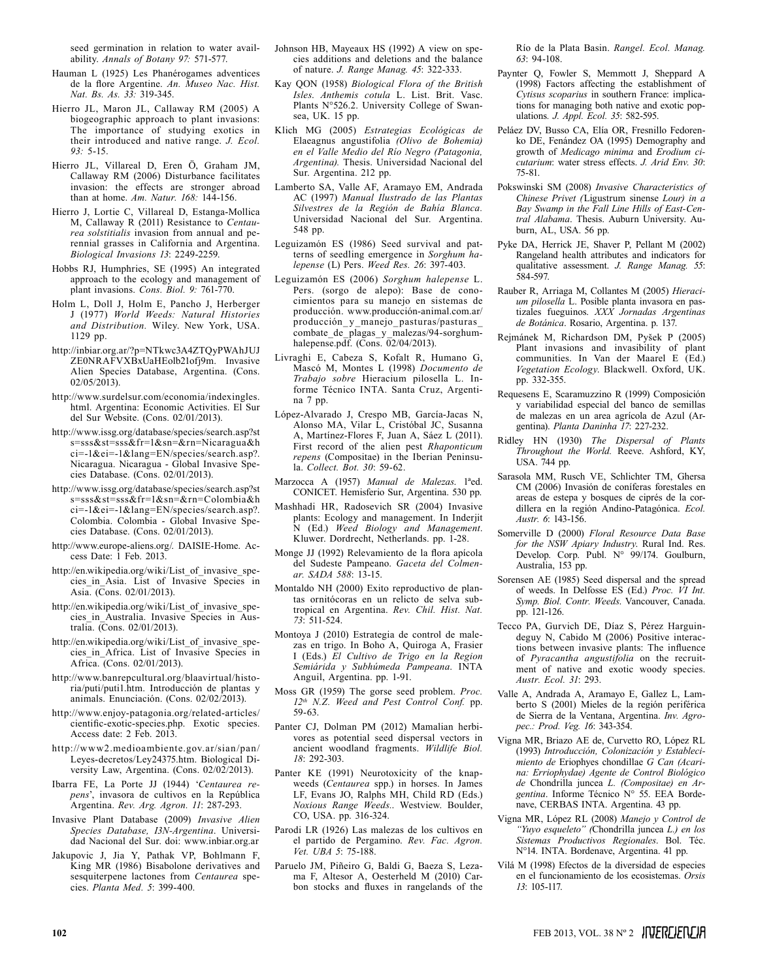seed germination in relation to water availability. *Annals of Botany 97:* 571-577.

- Hauman L (1925) Les Phanérogames adventices de la flore Argentine. *An. Museo Nac. Hist. Nat. Bs. As. 33:* 319-345.
- Hierro JL, Maron JL, Callaway RM (2005) A biogeographic approach to plant invasions: The importance of studying exotics in their introduced and native range. *J. Ecol. 93:* 5-15.
- Hierro JL, Villareal D, Eren Ö, Graham JM, Callaway RM (2006) Disturbance facilitates invasion: the effects are stronger abroad than at home. *Am. Natur. 168:* 144-156.
- Hierro J, Lortie C, Villareal D, Estanga-Mollica M, Callaway R (2011) Resistance to *Centaurea solstitialis* invasion from annual and perennial grasses in California and Argentina. *Biological Invasions 13*: 2249-2259.
- Hobbs RJ, Humphries, SE (1995) An integrated approach to the ecology and management of plant invasions. *Cons. Biol. 9:* 761-770.
- Holm L, Doll J, Holm E, Pancho J, Herberger J (1977) *World Weeds: Natural Histories and Distribution.* Wiley. New York, USA. 1129 pp.
- http://inbiar.org.ar/?p=NTkwc3A4ZTQyPWAhJUJ ZE0NRAFVXBxUaHEolb21ofj9m. Invasive Alien Species Database, Argentina. (Cons. 02/05/2013).
- http://www.surdelsur.com/economia/indexingles. html. Argentina: Economic Activities. El Sur del Sur Website. (Cons. 02/01/2013).
- http://www.issg.org/database/species/search.asp?st s=sss&st=sss&fr=1&sn=&rn=Nicaragua&h ci=-1&ei=-1&lang=EN/species/search.asp?. Nicaragua. Nicaragua - Global Invasive Species Database. (Cons. 02/01/2013).
- http://www.issg.org/database/species/search.asp?st s=sss&st=sss&fr=1&sn=&rn=Colombia&h ci=-1&ei=-1&lang=EN/species/search.asp?. Colombia. Colombia - Global Invasive Species Database. (Cons. 02/01/2013).
- http://www.europe-aliens.org/. DAISIE-Home. Access Date: 1 Feb. 2013.
- http://en.wikipedia.org/wiki/List\_of\_invasive\_species\_in\_Asia. List of Invasive Species in Asia. ( $\bar{C}$ ons. 02/01/2013).
- http://en.wikipedia.org/wiki/List\_of\_invasive\_species in Australia. Invasive Species in Australia. (Cons. 02/01/2013).
- http://en.wikipedia.org/wiki/List\_of\_invasive\_species\_in\_Africa. List of Invasive Species in Africa. (Cons. 02/01/2013).
- http://www.banrepcultural.org/blaavirtual/historia/puti/puti1.htm. Introducción de plantas y animals. Enunciación. (Cons. 02/02/2013).
- http://www.enjoy-patagonia.org/related-articles/ cientific-exotic-species.php. Exotic species. Access date: 2 Feb. 2013.
- http://www2.medioambiente.gov.ar/sian/pan/ Leyes-decretos/Ley24375.htm. Biological Diversity Law, Argentina. (Cons. 02/02/2013).
- Ibarra FE, La Porte JJ (1944) '*Centaurea repens*', invasora de cultivos en la República Argentina. *Rev. Arg. Agron. 11*: 287-293.
- Invasive Plant Database (2009) *Invasive Alien Species Database, I3N-Argentina*. Universidad Nacional del Sur. doi: www.inbiar.org.ar
- Jakupovic J, Jia Y, Pathak VP, Bohlmann F, King MR (1986) Bisabolone derivatives and sesquiterpene lactones from *Centaurea* species. *Planta Med. 5*: 399-400.
- Johnson HB, Mayeaux HS (1992) A view on species additions and deletions and the balance of nature. *J. Range Manag. 45*: 322-333.
- Kay QON (1958) *Biological Flora of the British Isles*. *Anthemis cotula* L. List. Brit. Vasc. Plants N°526.2. University College of Swansea, UK. 15 pp.
- Klich MG (2005) *Estrategias Ecológicas de*  Elaeagnus angustifolia *(Olivo de Bohemia) en el Valle Medio del Río Negro (Patagonia, Argentina).* Thesis. Universidad Nacional del Sur. Argentina. 212 pp.
- Lamberto SA, Valle AF, Aramayo EM, Andrada AC (1997) *Manual Ilustrado de las Plantas Silvestres de la Región de Bahía Blanca.*  Universidad Nacional del Sur. Argentina. 548 pp.
- Leguizamón ES (1986) Seed survival and patterns of seedling emergence in *Sorghum halepense* (L) Pers. *Weed Res. 26*: 397-403.
- Leguizamón ES (2006) *Sorghum halepense* L. Pers. (sorgo de alepo): Base de conocimientos para su manejo en sistemas de producción. www.producción-animal.com.ar/ producción\_y\_manejo\_pasturas/pasturas\_ combate\_de\_plagas\_y\_malezas/94-sorghumhalepense.pdf. (Cons. 02/04/2013).
- Livraghi E, Cabeza S, Kofalt R, Humano G, Mascó M, Montes L (1998) *Documento de Trabajo sobre* Hieracium pilosella L. Informe Técnico INTA. Santa Cruz, Argentina 7 pp.
- López-Alvarado J, Crespo MB, García-Jacas N, Alonso MA, Vilar L, Cristóbal JC, Susanna A, Martínez-Flores F, Juan A, Sáez L (2011). First record of the alien pest *Rhaponticum repens* (Compositae) in the Iberian Peninsula. *Collect. Bot. 30*: 59-62.
- Marzocca A (1957) *Manual de Malezas*. 1ªed. CONICET. Hemisferio Sur, Argentina. 530 pp.
- Mashhadi HR, Radosevich SR (2004) Invasive plants: Ecology and management. In Inderjit N (Ed.) *Weed Biology and Management*. Kluwer. Dordrecht, Netherlands. pp. 1-28.
- Monge JJ (1992) Relevamiento de la flora apícola del Sudeste Pampeano. *Gaceta del Colmenar. SADA 588*: 13-15.
- Montaldo NH (2000) Exito reproductivo de plantas ornitócoras en un relicto de selva subtropical en Argentina. *Rev. Chil. Hist. Nat. 73*: 511-524.
- Montoya J (2010) Estrategia de control de malezas en trigo. In Boho A, Quiroga A, Frasier I (Eds.) *El Cultivo de Trigo en la Region Semiárida y Subhúmeda Pampeana*. INTA Anguil, Argentina. pp. 1-91.
- Moss GR (1959) The gorse seed problem. *Proc. 12th N.Z. Weed and Pest Control Conf.* pp. 59-63.
- Panter CJ, Dolman PM (2012) Mamalian herbivores as potential seed dispersal vectors in ancient woodland fragments. *Wildlife Biol. 18*: 292-303.
- Panter KE (1991) Neurotoxicity of the knapweeds (*Centaurea* spp.) in horses. In James LF, Evans JO, Ralphs MH, Child RD (Eds.) *Noxious Range Weeds.*. Westview. Boulder, CO, USA. pp. 316-324.
- Parodi LR (1926) Las malezas de los cultivos en el partido de Pergamino. *Rev. Fac. Agron. Vet. UBA 5*: 75-188.
- Paruelo JM, Piñeiro G, Baldi G, Baeza S, Lezama F, Altesor A, Oesterheld M (2010) Carbon stocks and fluxes in rangelands of the

Río de la Plata Basin. *Rangel. Ecol. Manag. 63*: 94-108.

- Paynter Q, Fowler S, Memmott J, Sheppard A (1998) Factors affecting the establishment of *Cytisus scoparius* in southern France: implications for managing both native and exotic populations*. J. Appl. Ecol. 35*: 582-595.
- Peláez DV, Busso CA, Elía OR, Fresnillo Fedorenko DE, Fenández OA (1995) Demography and growth of *Medicago minima* and *Erodium cicutarium*: water stress effects. *J. Arid Env. 30*: 75-81.
- Pokswinski SM (2008) *Invasive Characteristics of Chinese Privet (*Ligustrum sinense *Lour) in a Bay Swamp in the Fall Line Hills of East-Central Alabama*. Thesis. Auburn University. Auburn, AL, USA. 56 pp.
- Pyke DA, Herrick JE, Shaver P, Pellant M (2002) Rangeland health attributes and indicators for qualitative assessment. *J. Range Manag. 55*: 584-597.
- Rauber R, Arriaga M, Collantes M (2005) *Hieracium pilosella* L. Posible planta invasora en pastizales fueguinos. *XXX Jornadas Argentinas de Botánica*. Rosario, Argentina. p. 137.
- Rejmánek M, Richardson DM, Pyšek P (2005) Plant invasions and invasibility of plant communities. In Van der Maarel E (Ed.) *Vegetation Ecology*. Blackwell. Oxford, UK. pp. 332-355.
- Requesens E, Scaramuzzino R (1999) Composición y variabilidad especial del banco de semillas de malezas en un area agrícola de Azul (Argentina). *Planta Daninha 17*: 227-232.
- Ridley HN (1930) *The Dispersal of Plants Throughout the World.* Reeve. Ashford, KY, USA. 744 pp.
- Sarasola MM, Rusch VE, Schlichter TM, Ghersa CM (2006) Invasión de coníferas forestales en areas de estepa y bosques de ciprés de la cordillera en la región Andino-Patagónica. *Ecol. Austr. 6*: 143-156.
- Somerville D (2000) *Floral Resource Data Base for the NSW Apiary Industry*. Rural Ind. Res. Develop. Corp. Publ. N° 99/174. Goulburn, Australia, 153 pp.
- Sorensen AE (1985) Seed dispersal and the spread of weeds. In Delfosse ES (Ed.) *Proc. VI Int. Symp. Biol. Contr. Weeds*. Vancouver, Canada. pp. 121-126.
- Tecco PA, Gurvich DE, Díaz S, Pérez Harguindeguy N, Cabido M (2006) Positive interactions between invasive plants: The influence of *Pyracantha angustifolia* on the recruitment of native and exotic woody species. *Austr. Ecol. 31*: 293.
- Valle A, Andrada A, Aramayo E, Gallez L, Lamberto S (2001) Mieles de la región periférica de Sierra de la Ventana, Argentina. *Inv. Agropec.: Prod. Veg. 16*: 343-354.
- Vigna MR, Briazo AE de, Curvetto RO, López RL (1993) *Introducción, Colonización y Establecimiento de* Eriophyes chondillae *G Can (Acarina: Erriophydae) Agente de Control Biológico de* Chondrilla juncea *L. (Compositae) en Argentina*. Informe Técnico N° 55. EEA Bordenave, CERBAS INTA. Argentina. 43 pp.
- Vigna MR, López RL (2008) *Manejo y Control de "Yuyo esqueleto" (*Chondrilla juncea *L.) en los Sistemas Productivos Regionales*. Bol. Téc. N°14. INTA. Bordenave, Argentina. 41 pp.
- Vilá M (1998) Efectos de la diversidad de especies en el funcionamiento de los ecosistemas. *Orsis 13*: 105-117.